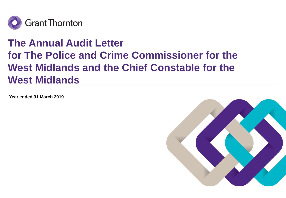

# **The Annual Audit Letter for The Police and Crime Commissioner for the West Midlands and the Chief Constable for the West Midlands**

**Year ended 31 March 2019**

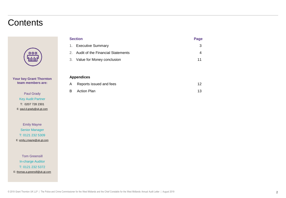# **Contents**



#### **Your key Grant Thornton team members are:**

Paul Grady Key Audit Partner T: 0207 728 2301 E: [paul.d.grady@uk.gt.com](mailto:paul.d.grady@uk.gt.com)

Emily Mayne Senior Manager T: 0121 232 5309 E: [emily.j.mayne@uk.gt.com](mailto:emily.j.mayne@uk.gt.com)

Tom Greensill In-charge Auditor T: 0121 232 5372 E: [thomas.a.greensill@uk.gt.com](mailto:thomas.a.greensill@uk.gt.com)

| <b>Section</b> |                                   | Page |
|----------------|-----------------------------------|------|
| 1.             | <b>Executive Summary</b>          | 3    |
| 2.             | Audit of the Financial Statements | 4    |
|                | 3. Value for Money conclusion     | 11   |
|                |                                   |      |
|                |                                   |      |
|                | <b>Appendices</b>                 |      |
| Α              | Reports issued and fees           | 12   |

B Action Plan 13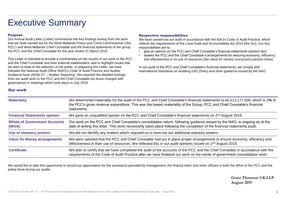# Executive Summary

#### Purpose

Our work

Our Annual Audit Letter (Letter) summarises the key findings arising from the work that we have carried out for the West Midlands Police and Crime Commissioner ('the PCC') and West Midlands Chief Constable and the financial statements of the group, the PCC and the Chief Constable for the year ended 31 March 2019.

This Letter is intended to provide a commentary on the results of our work to the PCC and the Chief Constable and their external stakeholders, and to highlight issues that we wish to draw to the attention of the public. In preparing this Letter, we have followed the National Audit Office (NAO)'s Code of Audit Practice and Auditor Guidance Note (AGN) 07 – 'Auditor Reporting'. We reported the detailed findings from our audit work to the PCC and the Chief Constable (as those charged with governance) in meetings which took place in July 2019

#### Respective responsibilities

We have carried out our audit in accordance with the NAO's Code of Audit Practice, which reflects the requirements of the Local Audit and Accountability Act 2014 (the Act). Our key responsibilities are to:

- give an opinion on the PCC and Chief Constable's financial statements (section two)
- assess the PCC and the Chief Constable's arrangements for securing economy, efficiency and effectiveness in its use of resources (the value for money conclusion) (section three).

In our audit of the PCC and Chief Constable's financial statements, we comply with International Standards on Auditing (UK) (ISAs) and other guidance issued by the NAO.

| <b>Materiality</b>                           | We determined materiality for the audit of the PCC and Chief Constable's financial statements to be £13,177,000, which is 2% of<br>the PCC's gross revenue expenditure. This was the lowest materiality of the Group, PCC and Chief Constable's financial<br>statements. |
|----------------------------------------------|--------------------------------------------------------------------------------------------------------------------------------------------------------------------------------------------------------------------------------------------------------------------------|
| <b>Financial Statements opinion</b>          | We gave an unqualified opinion on the PCC and Chief Constable's financial statements on 2 <sup>nd</sup> August 2019.                                                                                                                                                     |
| <b>Whole of Government Accounts</b><br>(WGA) | Our work on the PCC and Chief Constable's consolidation return, following guidance issued by the NAO, is ongoing as at the<br>date of writing this letter. This work necessarily takes place following the completion of the financial statements audit.                 |
| Use of statutory powers                      | We did not identify any matters which required us to exercise our additional statutory powers.                                                                                                                                                                           |
| <b>Value for Money arrangements</b>          | We were satisfied that the PCC and Chief Constable had put in place proper arrangements to ensure economy, efficiency and<br>effectiveness in their use of resources. We reflected this in our audit opinions issued on 2 <sup>nd</sup> August 2019.                     |
| <b>Certificate</b>                           | We plan to certify that we have completed the audit of the accounts of the PCC and the Chief Constable in accordance with the<br>requirements of the Code of Audit Practice after we have finalised our work on the whole of government consolidation work.              |

We would like to take this opportunity to record our appreciation for the assistance provided by management, the finance team and other officers in both the office of the PCC and the police force during our audits.

> **Grant Thornton UK LLP August 2019**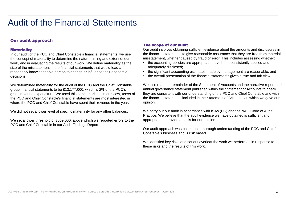### Our audit approach

#### **Materiality**

In our audit of the PCC and Chief Constable's financial statements, we use the concept of materiality to determine the nature, timing and extent of our work, and in evaluating the results of our work. We define materiality as the size of the misstatement in the financial statements that would lead a reasonably knowledgeable person to change or influence their economic decisions.

We determined materiality for the audit of the PCC and the Chief Constable' group financial statements to be £13,177,000, which is 2**%** of the PCC's gross revenue expenditure. We used this benchmark as, in our view, users of the PCC and Chief Constable's financial statements are most interested in where the PCC and Chief Constable have spent their revenue in the year.

We did not set a lower level of specific materiality for any other balances.

We set a lower threshold of £659,000, above which we reported errors to the PCC and Chief Constable in our Audit Findings Report.

### The scope of our audit

Our audit involves obtaining sufficient evidence about the amounts and disclosures in the financial statements to give reasonable assurance that they are free from material misstatement, whether caused by fraud or error. This includes assessing whether:

- the accounting policies are appropriate, have been consistently applied and adequately disclosed;
- the significant accounting estimates made by management are reasonable; and
- the overall presentation of the financial statements gives a true and fair view.

We also read the remainder of the Statement of Accounts and the narrative report and annual governance statement published within the Statement of Accounts to check they are consistent with our understanding of the PCC and Chief Constable and with the financial statements included in the Statement of Accounts on which we gave our opinion.

We carry out our audit in accordance with ISAs (UK) and the NAO Code of Audit Practice. We believe that the audit evidence we have obtained is sufficient and appropriate to provide a basis for our opinion.

Our audit approach was based on a thorough understanding of the PCC and Chief Constable's business and is risk based.

We identified key risks and set out overleaf the work we performed in response to these risks and the results of this work.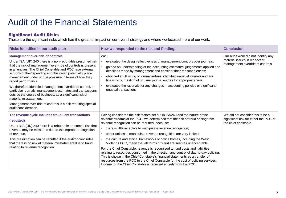### Significant Audit Risks

| Risks identified in our audit plan                                                                                                                                                                                                                                                                                                                                                                                                                                                                                                                                                                                                                                                          | How we responded to the risk and Findings                                                                                                                                                                                                                                                                                                                                                                                                                                                                                                                                                                                                                                                                                                                                                                                                                                                                            | <b>Conclusions</b>                                                                                       |
|---------------------------------------------------------------------------------------------------------------------------------------------------------------------------------------------------------------------------------------------------------------------------------------------------------------------------------------------------------------------------------------------------------------------------------------------------------------------------------------------------------------------------------------------------------------------------------------------------------------------------------------------------------------------------------------------|----------------------------------------------------------------------------------------------------------------------------------------------------------------------------------------------------------------------------------------------------------------------------------------------------------------------------------------------------------------------------------------------------------------------------------------------------------------------------------------------------------------------------------------------------------------------------------------------------------------------------------------------------------------------------------------------------------------------------------------------------------------------------------------------------------------------------------------------------------------------------------------------------------------------|----------------------------------------------------------------------------------------------------------|
| <b>Management over-ride of controls</b><br>Under ISA (UK) 240 there is a non-rebuttable presumed risk<br>that the risk of management over-ride of controls is present<br>in all entities. The Chief Constable and PCC face external<br>scrutiny of their spending and this could potentially place<br>management under undue pressure in terms of how they<br>report performance.<br>We therefore identified management override of control, in<br>particular journals, management estimates and transactions<br>outside the course of business, as a significant risk of<br>material misstatement.<br>Management over-ride of controls is a risk requiring special<br>audit consideration. | We:<br>evaluated the design effectiveness of management controls over journals;<br>gained an understanding of the accounting estimates, judgements applied and<br>decisions made by management and consider their reasonableness;<br>obtained a full listing of journal entries, identified unusual journals and are<br>finalising our testing of unusual journal entries for appropriateness;<br>evaluated the rationale for any changes in accounting policies or significant<br>unusual transactions                                                                                                                                                                                                                                                                                                                                                                                                              | Our audit work did not identify any<br>material issues in respect of<br>management override of controls. |
| The revenue cycle includes fraudulent transactions<br>(rebutted)<br>Under ISA (UK) 240 there is a rebuttable presumed risk that<br>revenue may be misstated due to the improper recognition<br>of revenue.<br>This presumption can be rebutted if the auditor concludes<br>that there is no risk of material misstatement due to fraud<br>relating to revenue recognition.                                                                                                                                                                                                                                                                                                                  | Having considered the risk factors set out in ISA240 and the nature of the<br>revenue streams at the PCC, we determined that the risk of fraud arising from<br>revenue recognition can be rebutted, because:<br>there is little incentive to manipulate revenue recognition;<br>opportunities to manipulate revenue recognition are very limited;<br>the culture and ethical frameworks of police bodies, including the West<br>Midlands PCC, mean that all forms of fraud are seen as unacceptable.<br>For the Chief Constable, revenue is recognised to fund costs and liabilities<br>relating to resources consumed in the direction and control of day-to-day policing.<br>This is shown in the Chief Constable's financial statements as a transfer of<br>resources from the PCC to the Chief Constable for the cost of policing services.<br>Income for the Chief Constable is received entirely from the PCC. | We did not consider this to be a<br>significant risk for either the PCC or<br>the chief constable.       |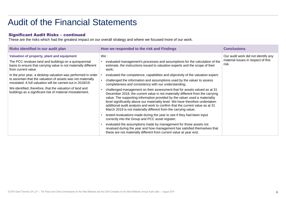### Significant Audit Risks – continued

| Risks identified in our audit plan                                                                                                                                                                                                                                                                                    | How we responded to the risk and Findings                                                                                                                                                                                                                                                                                                                                                                                                                                                                                                                                                                                                                                                                                                                                                                                                                                                                                                                                                                                                                   | <b>Conclusions</b>                                                                 |
|-----------------------------------------------------------------------------------------------------------------------------------------------------------------------------------------------------------------------------------------------------------------------------------------------------------------------|-------------------------------------------------------------------------------------------------------------------------------------------------------------------------------------------------------------------------------------------------------------------------------------------------------------------------------------------------------------------------------------------------------------------------------------------------------------------------------------------------------------------------------------------------------------------------------------------------------------------------------------------------------------------------------------------------------------------------------------------------------------------------------------------------------------------------------------------------------------------------------------------------------------------------------------------------------------------------------------------------------------------------------------------------------------|------------------------------------------------------------------------------------|
| Valuation of property, plant and equipment<br>The PCC revalues land and buildings on a quinquennial<br>basis to ensure that carrying value is not materially different<br>from current value                                                                                                                          | We :<br>evaluated management's processes and assumptions for the calculation of the<br>estimate, the instructions issued to valuation experts and the scope of their<br>work;                                                                                                                                                                                                                                                                                                                                                                                                                                                                                                                                                                                                                                                                                                                                                                                                                                                                               | Our audit work did not identify any<br>material issues in respect of this<br>risk. |
| In the prior year, a desktop valuation was performed in order<br>to ascertain that the valuation of assets was not materially<br>misstated. A full valuation will be carried out in 2018/19.<br>We identified, therefore, that the valuation of land and<br>buildings as a significant risk of material misstatement. | evaluated the competence, capabilities and objectivity of the valuation expert;<br>challenged the information and assumptions used by the valuer to assess<br>completeness and consistency with our understanding;<br>challenged management on their assessment that for assets valued as at 31<br>December 2018, the current value is not materially different from the carrying<br>value. The supporting information provided by the valuer used a materiality<br>level significantly above our materiality level. We have therefore undertaken<br>additional audit analysis and work to confirm that the current value as at 31<br>March 2019 is not materially different from the carrying value;<br>tested revaluations made during the year to see if they had been input<br>correctly into the Group and PCC asset register;<br>evaluated the assumptions made by management for those assets not<br>revalued during the year and how management has satisfied themselves that<br>these are not materially different from current value at year end. |                                                                                    |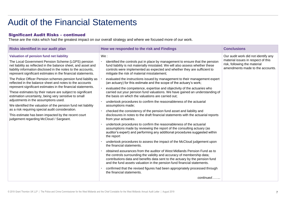### Significant Audit Risks – continued

| Risks identified in our audit plan                                                                                                                                                                                                                                                                              | How we responded to the risk and Findings                                                                                                                                                                                                                                                                                                                           | <b>Conclusions</b>                                                                                                                            |
|-----------------------------------------------------------------------------------------------------------------------------------------------------------------------------------------------------------------------------------------------------------------------------------------------------------------|---------------------------------------------------------------------------------------------------------------------------------------------------------------------------------------------------------------------------------------------------------------------------------------------------------------------------------------------------------------------|-----------------------------------------------------------------------------------------------------------------------------------------------|
| <b>Valuation of pension fund net liability</b><br>The Local Government Pension Scheme (LGPS) pension<br>net liability as reflected in the balance sheet, and asset and<br>liability information disclosed in the notes to the accounts,<br>represent significant estimates in the financial statements.         | We:<br>identified the controls put in place by management to ensure that the pension<br>fund liability is not materially misstated. We will also assess whether these<br>controls were implemented as expected and whether they are sufficient to<br>mitigate the risk of material misstatement;                                                                    | Our audit work did not identify any<br>material issues in respect of this<br>risk, following the material<br>amendments made to the accounts. |
| The Police Officer Pension schemes pension fund liability as<br>reflected in the balance sheet and notes to the accounts<br>represent significant estimates in the financial statements.<br>These estimates by their nature are subject to significant<br>estimation uncertainty, being very sensitive to small | evaluated the instructions issued by management to their management expert<br>(an actuary) for this estimate and the scope of the actuary's work;<br>evaluated the competence, expertise and objectivity of the actuaries who<br>carried out your pension fund valuations. We have gained an understanding of<br>the basis on which the valuations are carried out; |                                                                                                                                               |
| adjustments in the assumptions used.<br>We identified the valuation of the pension fund net liability<br>as a risk requiring special audit consideration.<br>This estimate has been impacted by the recent court<br>judgement regarding McCloud / Sargeant.                                                     | undertook procedures to confirm the reasonableness of the actuarial<br>assumptions made;<br>checked the consistency of the pension fund asset and liability and<br>disclosures in notes to the draft financial statements with the actuarial reports<br>from your actuaries.                                                                                        |                                                                                                                                               |
|                                                                                                                                                                                                                                                                                                                 | undertook procedures to confirm the reasonableness of the actuarial<br>assumptions made by reviewing the report of the consulting actuary (as<br>auditor's expert) and performing any additional procedures suggested within<br>the report                                                                                                                          |                                                                                                                                               |
|                                                                                                                                                                                                                                                                                                                 | undertook procedures to assess the impact of the McCloud judgement upon<br>the financial statements.                                                                                                                                                                                                                                                                |                                                                                                                                               |
|                                                                                                                                                                                                                                                                                                                 | obtained assurances from the auditor of West Midlands Pension Fund as to<br>the controls surrounding the validity and accuracy of membership data;<br>contributions data and benefits data sent to the actuary by the pension fund<br>and the fund assets valuation in the pension fund financial statements.                                                       |                                                                                                                                               |
|                                                                                                                                                                                                                                                                                                                 | confirmed that the revised figures had been appropriately processed through<br>the financial statements.                                                                                                                                                                                                                                                            |                                                                                                                                               |
|                                                                                                                                                                                                                                                                                                                 | continued                                                                                                                                                                                                                                                                                                                                                           |                                                                                                                                               |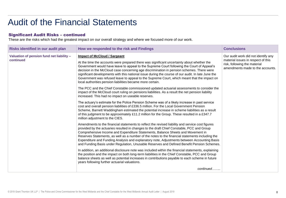### Significant Audit Risks – continued

| Risks identified in our audit plan                     | How we responded to the risk and Findings                                                                                                                                                                                                                                                                                                                                                                                                                                                                                                                                                       | <b>Conclusions</b>                                                                                                                            |
|--------------------------------------------------------|-------------------------------------------------------------------------------------------------------------------------------------------------------------------------------------------------------------------------------------------------------------------------------------------------------------------------------------------------------------------------------------------------------------------------------------------------------------------------------------------------------------------------------------------------------------------------------------------------|-----------------------------------------------------------------------------------------------------------------------------------------------|
| Valuation of pension fund net liability -<br>continued | <b>Impact of McCloud / Sargeant</b><br>At the time the accounts were prepared there was significant uncertainty about whether the<br>Government would have leave to appeal to the Supreme Court following the Court of Appeal's<br>decision in the McCloud case concerning age discrimination in pension schemes. There were<br>significant developments with this national issue during the course of our audit. In late June the<br>Government was refused leave to appeal to the Supreme Court, which meant that the impact on<br>local authorities pension liabilities became more certain. | Our audit work did not identify any<br>material issues in respect of this<br>risk, following the material<br>amendments made to the accounts. |
|                                                        | The PCC and the Chief Constable commissioned updated actuarial assessments to consider the<br>impact of the McCloud court ruling on pensions liabilities. As a result the net pension liability<br>increased. This had no impact on useable reserves.                                                                                                                                                                                                                                                                                                                                           |                                                                                                                                               |
|                                                        | The actuary's estimate for the Police Pension Scheme was of a likely increase in past service<br>cost and overall pension liabilities of £336.5 million. For the Local Government Pension<br>Scheme, Barnett Waddingham estimated the potential increase in scheme liabilities as a result<br>of this judgment to be approximately £11.2 million for the Group. These resulted in a £347.7<br>million adjustment to the CIES.                                                                                                                                                                   |                                                                                                                                               |
|                                                        | Amendments to the financial statements to reflect the revised liability and service cost figures<br>provided by the actuaries resulted in changes to the draft Chief Constable, PCC and Group<br>Comprehensive Income and Expenditure Statements, Balance Sheets and Movement in<br>Reserves Statements, as well as a number of the notes to the financial statements including the<br>Expenditure and Funding Analysis and explanatory note, Adjustments between Accounting Basis<br>and Funding Basis under Regulation, Unusable Reserves and Defined Benefit Pension Schemes.                |                                                                                                                                               |
|                                                        | In addition, an additional disclosure note was included within the financial statements, explaining<br>the position and the impact on both long-term liabilities in the Chief Constable, PCC and Group<br>balance sheets as well as potential increases in contributions payable to each scheme in future<br>years following further actuarial valuations.                                                                                                                                                                                                                                      |                                                                                                                                               |
|                                                        | continued                                                                                                                                                                                                                                                                                                                                                                                                                                                                                                                                                                                       |                                                                                                                                               |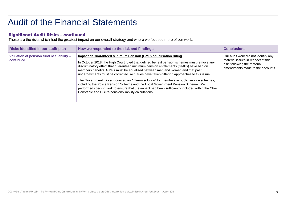### Significant Audit Risks – continued

| Risks identified in our audit plan                     | How we responded to the risk and Findings                                                                                                                                                                                                                                                                                                                                                                                                                                                                                                                                                                                                                                                                                                                                              | <b>Conclusions</b>                                                                                                                            |
|--------------------------------------------------------|----------------------------------------------------------------------------------------------------------------------------------------------------------------------------------------------------------------------------------------------------------------------------------------------------------------------------------------------------------------------------------------------------------------------------------------------------------------------------------------------------------------------------------------------------------------------------------------------------------------------------------------------------------------------------------------------------------------------------------------------------------------------------------------|-----------------------------------------------------------------------------------------------------------------------------------------------|
| Valuation of pension fund net liability -<br>continued | <b>Impact of Guaranteed Minimum Pension (GMP) equalisation ruling</b><br>In October 2018, the High Court ruled that defined benefit pension schemes must remove any<br>discriminatory effect that guaranteed minimum pension entitlements (GMPs) have had on<br>members benefits. GMPs must be equalised between men and women and that past<br>underpayments must be corrected. Actuaries have taken differing approaches to this issue.<br>The Government has announced an "interim solution" for members in public service schemes,<br>including the Police Pension Scheme and the Local Government Pension Scheme. We<br>performed specific work to ensure that the impact had been sufficiently included within the Chief<br>Constable and PCC's pensions liability calculations. | Our audit work did not identify any<br>material issues in respect of this<br>risk, following the material<br>amendments made to the accounts. |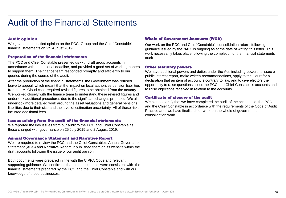### Audit opinion

We gave an unqualified opinion on the PCC, Group and the Chief Constable's financial statements on 2nd August 2019.

### Preparation of the financial statements

The PCC and Chief Constable presented us with draft group accounts in accordance with the national deadline, and provided a good set of working papers to support them. The finance team responded promptly and efficiently to our queries during the course of the audit.

After the production of the financial statements, the Government was refused leave to appeal, which meant that the impact on local authorities pension liabilities from the McCloud case required revised figures to be obtained from the actuary. We worked closely with the finance team to understand these revised figures and undertook additional procedures due to the significant changes proposed. We also undertook more detailed work around the asset valuations and general pensions liabilities due to their size and the level of estimation uncertainty. All of these risks incurred additional fees.

#### Issues arising from the audit of the financial statements

We reported the key issues from our audit to the PCC and Chief Constable as those charged with governance on 25 July 2019 and 2 August 2019.

#### Annual Governance Statement and Narrative Report

We are required to review the PCC and the Chief Constable's Annual Governance Statement (AGS) and Narrative Report. It published them on its website within the draft accounts following the issue of our audit opinion.

Both documents were prepared in line with the CIPFA Code and relevant supporting guidance. We confirmed that both documents were consistent with the financial statements prepared by the PCC and the Chief Constable and with our knowledge of these businesses.

#### Whole of Government Accounts (WGA)

Our work on the PCC and Chief Constable's consolidation return, following guidance issued by the NAO, is ongoing as at the date of writing this letter. This work necessarily takes place following the completion of the financial statements audit.

#### Other statutory powers

We have additional powers and duties under the Act, including powers to issue a public interest report, make written recommendations, apply to the Court for a declaration that an item of account is contrary to law, and to give electors the opportunity to raise questions about the PCC and Chief Constable's accounts and to raise objections received in relation to the accounts.

#### Certificate of closure of the audit

We plan to certify that we have completed the audit of the accounts of the PCC and the Chief Constable in accordance with the requirements of the Code of Audit Practice after we have finalised our work on the whole of government consolidation work.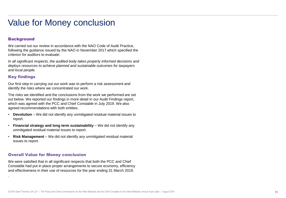# Value for Money conclusion

## **Background**

We carried out our review in accordance with the NAO Code of Audit Practice, following the guidance issued by the NAO in November 2017 which specified the criterion for auditors to evaluate:

*In all significant respects, the audited body takes properly informed decisions and deploys resources to achieve planned and sustainable outcomes for taxpayers and local people.* 

# Key findings

.

Our first step in carrying out our work was to perform a risk assessment and identify the risks where we concentrated our work.

The risks we identified and the conclusions from the work we performed are set out below. We reported our findings in more detail in our Audit Findings report, which was agreed with the PCC and Chief Constable in July 2019. We also agreed recommendations with both entities.

- **Devolution** We did not identify any unmitigated residual material issues to report.
- **Financial strategy and long term sustainability** We did not identify any unmitigated residual material issues to report.
- **Risk Management**  We did not identify any unmitigated residual material issues to report.

### Overall Value for Money conclusion

We were satisfied that in all significant respects that both the PCC and Chief Constable had put in place proper arrangements to secure economy, efficiency and effectiveness in their use of resources for the year ending 31 March 2019.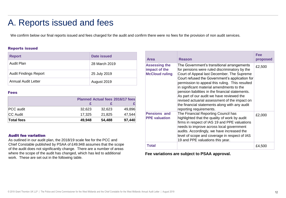# A. Reports issued and fees

We confirm below our final reports issued and fees charged for the audit and confirm there were no fees for the provision of non audit services.

### Reports issued

| <b>Report</b>                | Date issued   |
|------------------------------|---------------|
| Audit Plan                   | 28 March 2019 |
| <b>Audit Findings Report</b> | 25 July 2019  |
| Annual Audit Letter          | August 2019   |

#### Fees

|                   |        |        | Planned Actual fees 2016/17 fees |
|-------------------|--------|--------|----------------------------------|
|                   |        |        |                                  |
| <b>PCC</b> audit  | 32.623 | 32.623 | 49,896                           |
| <b>CC Audit</b>   | 17.325 | 21.825 | 47,544                           |
| <b>Total fees</b> | 49.948 | 54.488 | 97,440                           |

### Audit fee variation

As outlined in our audit plan, the 2018/19 scale fee for the PCC and Chief Constable published by PSAA of £49,948 assumes that the scope of the audit does not significantly change. There are a number of areas where the scope of the audit has changed, which has led to additional work. These are set out in the following table.

| Area                                                           | <b>Reason</b>                                                                                                                                                                                                                                                                                                                                                                                                                                                                                                             | Fee<br>proposed |
|----------------------------------------------------------------|---------------------------------------------------------------------------------------------------------------------------------------------------------------------------------------------------------------------------------------------------------------------------------------------------------------------------------------------------------------------------------------------------------------------------------------------------------------------------------------------------------------------------|-----------------|
| <b>Assessing the</b><br>impact of the<br><b>McCloud ruling</b> | The Government's transitional arrangements<br>for pensions were ruled discriminatory by the<br>Court of Appeal last December. The Supreme<br>Court refused the Government's application for<br>permission to appeal this ruling. This resulted<br>in significant material amendments to the<br>pension liabilities in the financial statements.<br>As part of our audit we have reviewed the<br>revised actuarial assessment of the impact on<br>the financial statements along with any audit<br>reporting requirements. | £2,500          |
| <b>Pensions and</b><br><b>PPE</b> valuation                    | The Financial Reporting Council has<br>highlighted that the quality of work by audit<br>firms in respect of IAS 19 and PPE valuations<br>needs to improve across local government<br>audits. Accordingly, we have increased the<br>level of scope and coverage in respect of IAS<br>19 and PPE valuations this year.                                                                                                                                                                                                      | £2,000          |
| <b>Total</b>                                                   |                                                                                                                                                                                                                                                                                                                                                                                                                                                                                                                           | £4,500          |

**Fee variations are subject to PSAA approval.**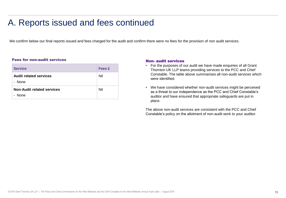# A. Reports issued and fees continued

We confirm below our final reports issued and fees charged for the audit and confirm there were no fees for the provision of non audit services.

#### Fees for non-audit services

| <b>Service</b>                              | <b>Fees £</b> |
|---------------------------------------------|---------------|
| <b>Audit related services</b><br>- None     | Nil           |
| <b>Non-Audit related services</b><br>- None | Nil           |

#### Non- audit services

- For the purposes of our audit we have made enquiries of all Grant Thornton UK LLP teams providing services to the PCC and Chief Constable. The table above summarises all non-audit services which were identified.
- We have considered whether non-audit services might be perceived as a threat to our independence as the PCC and Chief Constable's auditor and have ensured that appropriate safeguards are put in place.

The above non-audit services are consistent with the PCC and Chief Constable's policy on the allotment of non-audit work to your auditor.